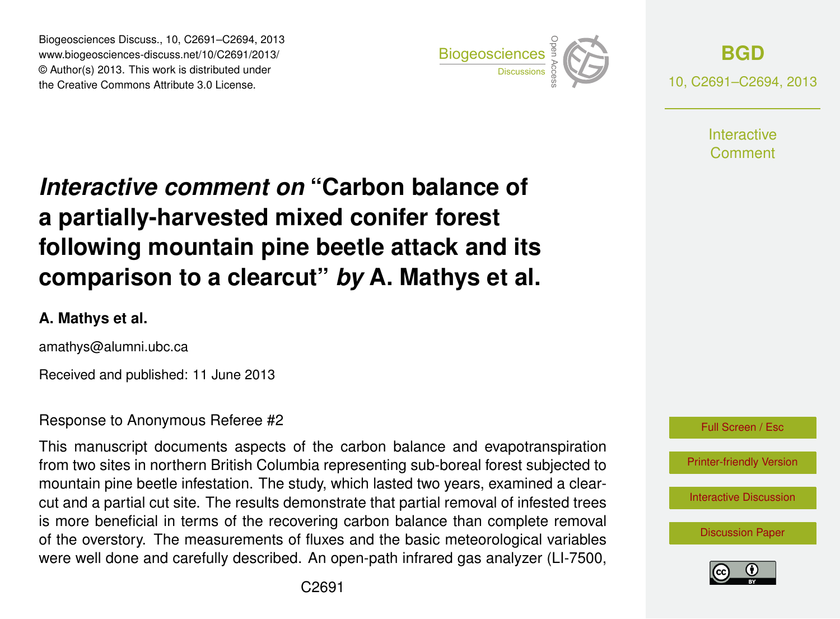Biogeosciences Discuss., 10, C2691–C2694, 2013 www.biogeosciences-discuss.net/10/C2691/2013/ www.biogeosciences-ulscuss.net/10/O2091/2013/<br>© Author(s) 2013. This work is distributed under the Creative Commons Attribute 3.0 License.



**[BGD](http://www.biogeosciences-discuss.net)** 10, C2691–C2694, 2013

> **Interactive** Comment

#### Earth System a partially-harvested mixed conifer forest  $\overline{\phantom{a}}$ Interactive comment on "Carbon balance of following mountain pine beetle attack and its  $G = G$ a vicarut  $\mathbf{r}$  $\sim$  ot of comparison to a clearcut" *by* A. Mathys et al.

### **A. Mathys et al.**

amathys@alumni.ubc.ca

 $\overline{G}$ Received and published: 11 June 2013

# Response to Anonymous Referee #2

This manuscript documents aspects of the carbon balance and evapotranspiration from two sites in northern British Columbia representing sub-boreal forest subjected to f<br>วi s<br>je mountain pine beetle infestation. The study, which lasted two years, examined a clearis more beneficial in terms of the recovering carbon balance than complete removal n<br>ef IE<br>ا<br>۷ة of the overstory. The measurements of fluxes and the basic meteorological variables cut and a partial cut site. The results demonstrate that partial removal of infested trees were well done and carefully described. An open-path infrared gas analyzer (LI-7500,



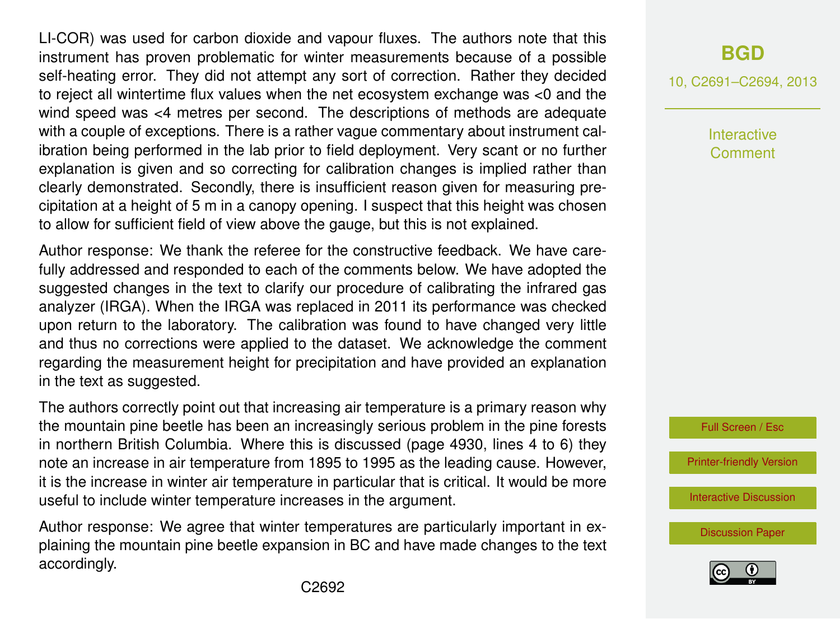LI-COR) was used for carbon dioxide and vapour fluxes. The authors note that this instrument has proven problematic for winter measurements because of a possible self-heating error. They did not attempt any sort of correction. Rather they decided to reject all wintertime flux values when the net ecosystem exchange was <0 and the wind speed was <4 metres per second. The descriptions of methods are adequate with a couple of exceptions. There is a rather vague commentary about instrument calibration being performed in the lab prior to field deployment. Very scant or no further explanation is given and so correcting for calibration changes is implied rather than clearly demonstrated. Secondly, there is insufficient reason given for measuring precipitation at a height of 5 m in a canopy opening. I suspect that this height was chosen to allow for sufficient field of view above the gauge, but this is not explained.

Author response: We thank the referee for the constructive feedback. We have carefully addressed and responded to each of the comments below. We have adopted the suggested changes in the text to clarify our procedure of calibrating the infrared gas analyzer (IRGA). When the IRGA was replaced in 2011 its performance was checked upon return to the laboratory. The calibration was found to have changed very little and thus no corrections were applied to the dataset. We acknowledge the comment regarding the measurement height for precipitation and have provided an explanation in the text as suggested.

The authors correctly point out that increasing air temperature is a primary reason why the mountain pine beetle has been an increasingly serious problem in the pine forests in northern British Columbia. Where this is discussed (page 4930, lines 4 to 6) they note an increase in air temperature from 1895 to 1995 as the leading cause. However, it is the increase in winter air temperature in particular that is critical. It would be more useful to include winter temperature increases in the argument.

Author response: We agree that winter temperatures are particularly important in explaining the mountain pine beetle expansion in BC and have made changes to the text accordingly.

### **[BGD](http://www.biogeosciences-discuss.net)**

10, C2691–C2694, 2013

Interactive Comment



[Printer-friendly Version](http://www.biogeosciences-discuss.net/10/C2691/2013/bgd-10-C2691-2013-print.pdf)

[Interactive Discussion](http://www.biogeosciences-discuss.net/10/4927/2013/bgd-10-4927-2013-discussion.html)

[Discussion Paper](http://www.biogeosciences-discuss.net/10/4927/2013/bgd-10-4927-2013.pdf)

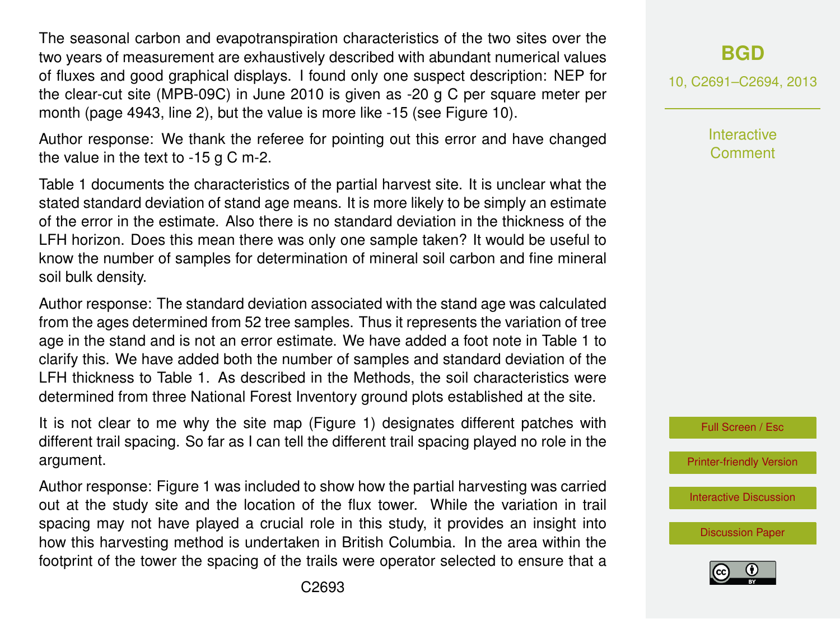The seasonal carbon and evapotranspiration characteristics of the two sites over the two years of measurement are exhaustively described with abundant numerical values of fluxes and good graphical displays. I found only one suspect description: NEP for the clear-cut site (MPB-09C) in June 2010 is given as -20 g C per square meter per month (page 4943, line 2), but the value is more like -15 (see Figure 10).

Author response: We thank the referee for pointing out this error and have changed the value in the text to -15 g C m-2.

Table 1 documents the characteristics of the partial harvest site. It is unclear what the stated standard deviation of stand age means. It is more likely to be simply an estimate of the error in the estimate. Also there is no standard deviation in the thickness of the LFH horizon. Does this mean there was only one sample taken? It would be useful to know the number of samples for determination of mineral soil carbon and fine mineral soil bulk density.

Author response: The standard deviation associated with the stand age was calculated from the ages determined from 52 tree samples. Thus it represents the variation of tree age in the stand and is not an error estimate. We have added a foot note in Table 1 to clarify this. We have added both the number of samples and standard deviation of the LFH thickness to Table 1. As described in the Methods, the soil characteristics were determined from three National Forest Inventory ground plots established at the site.

It is not clear to me why the site map (Figure 1) designates different patches with different trail spacing. So far as I can tell the different trail spacing played no role in the argument.

Author response: Figure 1 was included to show how the partial harvesting was carried out at the study site and the location of the flux tower. While the variation in trail spacing may not have played a crucial role in this study, it provides an insight into how this harvesting method is undertaken in British Columbia. In the area within the footprint of the tower the spacing of the trails were operator selected to ensure that a 10, C2691–C2694, 2013

**Interactive Comment** 



[Printer-friendly Version](http://www.biogeosciences-discuss.net/10/C2691/2013/bgd-10-C2691-2013-print.pdf)

[Interactive Discussion](http://www.biogeosciences-discuss.net/10/4927/2013/bgd-10-4927-2013-discussion.html)

[Discussion Paper](http://www.biogeosciences-discuss.net/10/4927/2013/bgd-10-4927-2013.pdf)